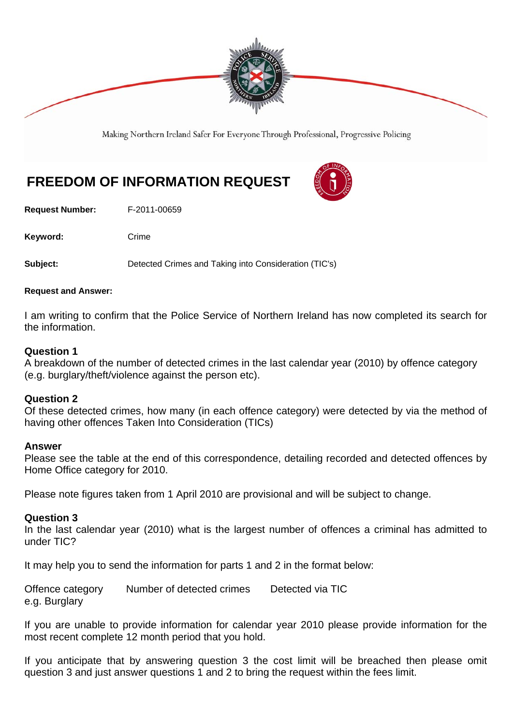

Making Northern Ireland Safer For Everyone Through Professional, Progressive Policing

# **FREEDOM OF INFORMATION REQUEST**

**Request Number:** F-2011-00659

Keyword: Crime

**Subject:** Detected Crimes and Taking into Consideration (TIC's)

#### **Request and Answer:**

I am writing to confirm that the Police Service of Northern Ireland has now completed its search for the information.

#### **Question 1**

A breakdown of the number of detected crimes in the last calendar year (2010) by offence category (e.g. burglary/theft/violence against the person etc).

#### **Question 2**

Of these detected crimes, how many (in each offence category) were detected by via the method of having other offences Taken Into Consideration (TICs)

#### **Answer**

Please see the table at the end of this correspondence, detailing recorded and detected offences by Home Office category for 2010.

Please note figures taken from 1 April 2010 are provisional and will be subject to change.

#### **Question 3**

In the last calendar year (2010) what is the largest number of offences a criminal has admitted to under TIC?

It may help you to send the information for parts 1 and 2 in the format below:

Offence category Number of detected crimes Detected via TIC e.g. Burglary

If you are unable to provide information for calendar year 2010 please provide information for the most recent complete 12 month period that you hold.

If you anticipate that by answering question 3 the cost limit will be breached then please omit question 3 and just answer questions 1 and 2 to bring the request within the fees limit.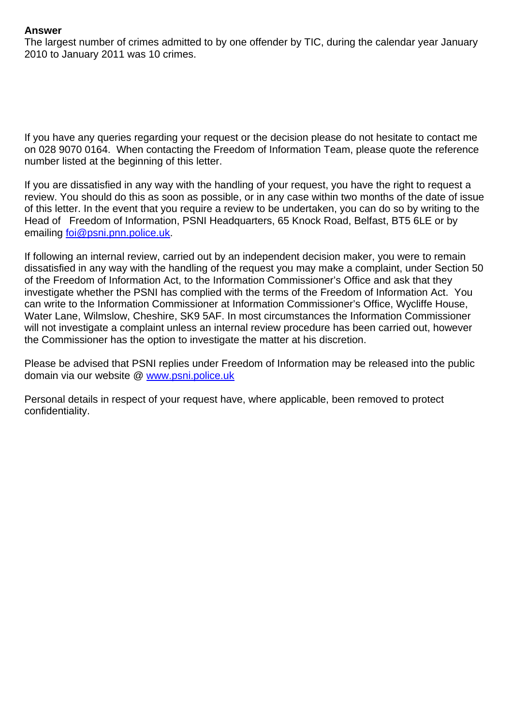### **Answer**

The largest number of crimes admitted to by one offender by TIC, during the calendar year January 2010 to January 2011 was 10 crimes.

If you have any queries regarding your request or the decision please do not hesitate to contact me on 028 9070 0164. When contacting the Freedom of Information Team, please quote the reference number listed at the beginning of this letter.

If you are dissatisfied in any way with the handling of your request, you have the right to request a review. You should do this as soon as possible, or in any case within two months of the date of issue of this letter. In the event that you require a review to be undertaken, you can do so by writing to the Head of Freedom of Information, PSNI Headquarters, 65 Knock Road, Belfast, BT5 6LE or by emailing foi@psni.pnn.police.uk.

If following an internal review, carried out by an independent decision maker, you were to remain dissatisfied in any way with the handling of the request you may make a complaint, under Section 50 of the Freedom of Information Act, to the Information Commissioner's Office and ask that they investigate whether the PSNI has complied with the terms of the Freedom of Information Act. You can write to the Information Commissioner at Information Commissioner's Office, Wycliffe House, Water Lane, Wilmslow, Cheshire, SK9 5AF. In most circumstances the Information Commissioner will not investigate a complaint unless an internal review procedure has been carried out, however the Commissioner has the option to investigate the matter at his discretion.

Please be advised that PSNI replies under Freedom of Information may be released into the public domain via our website @ www.psni.police.uk

Personal details in respect of your request have, where applicable, been removed to protect confidentiality.